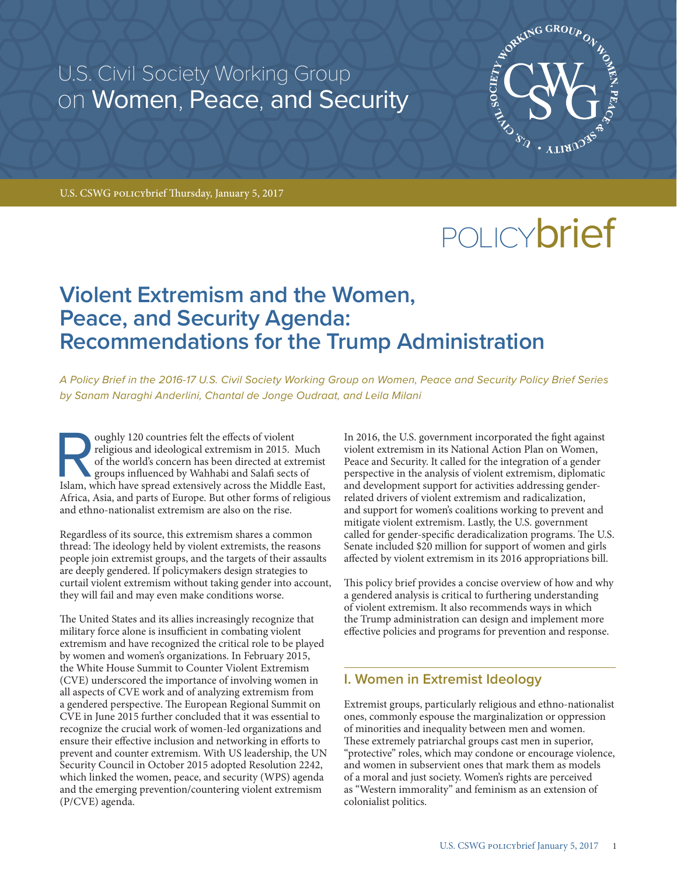U.S. Civil Society Working Group on Women, Peace, and Security



U.S. CSWG policybrief Thursday, January 5, 2017

# POLICY**brief**

## **Violent Extremism and the Women, Peace, and Security Agenda: Recommendations for the Trump Administration**

*A Policy Brief in the 2016-17 U.S. Civil Society Working Group on Women, Peace and Security Policy Brief Series by Sanam Naraghi Anderlini, Chantal de Jonge Oudraat, and Leila Milani*

oughly 120 countries felt the effects of violent religious and ideological extremism in 2015. Much of the world's concern has been directed at extremist groups influenced by Wahhabi and Salafi sects of Islam, which have sp religious and ideological extremism in 2015. Much of the world's concern has been directed at extremist groups influenced by Wahhabi and Salafi sects of Africa, Asia, and parts of Europe. But other forms of religious and ethno-nationalist extremism are also on the rise.

Regardless of its source, this extremism shares a common thread: The ideology held by violent extremists, the reasons people join extremist groups, and the targets of their assaults are deeply gendered. If policymakers design strategies to curtail violent extremism without taking gender into account, they will fail and may even make conditions worse.

The United States and its allies increasingly recognize that military force alone is insufficient in combating violent extremism and have recognized the critical role to be played by women and women's organizations. In February 2015, the White House Summit to Counter Violent Extremism (CVE) underscored the importance of involving women in all aspects of CVE work and of analyzing extremism from a gendered perspective. The European Regional Summit on CVE in June 2015 further concluded that it was essential to recognize the crucial work of women-led organizations and ensure their effective inclusion and networking in efforts to prevent and counter extremism. With US leadership, the UN Security Council in October 2015 adopted Resolution 2242, which linked the women, peace, and security (WPS) agenda and the emerging prevention/countering violent extremism (P/CVE) agenda.

In 2016, the U.S. government incorporated the fight against violent extremism in its National Action Plan on Women, Peace and Security. It called for the integration of a gender perspective in the analysis of violent extremism, diplomatic and development support for activities addressing genderrelated drivers of violent extremism and radicalization, and support for women's coalitions working to prevent and mitigate violent extremism. Lastly, the U.S. government called for gender-specific deradicalization programs. The U.S. Senate included \$20 million for support of women and girls affected by violent extremism in its 2016 appropriations bill.

This policy brief provides a concise overview of how and why a gendered analysis is critical to furthering understanding of violent extremism. It also recommends ways in which the Trump administration can design and implement more effective policies and programs for prevention and response.

## **I. Women in Extremist Ideology**

Extremist groups, particularly religious and ethno-nationalist ones, commonly espouse the marginalization or oppression of minorities and inequality between men and women. These extremely patriarchal groups cast men in superior, "protective" roles, which may condone or encourage violence, and women in subservient ones that mark them as models of a moral and just society. Women's rights are perceived as "Western immorality" and feminism as an extension of colonialist politics.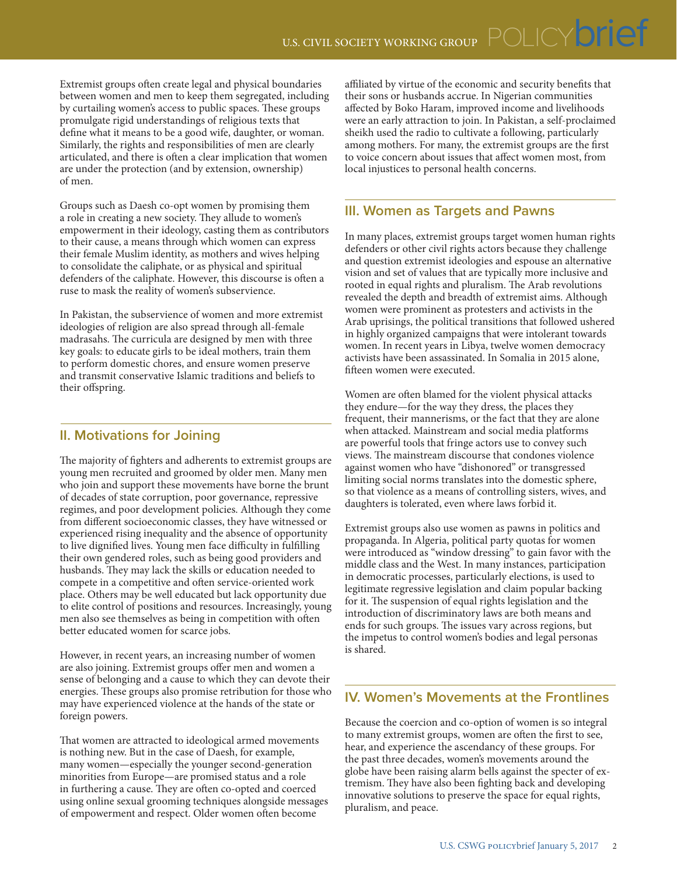Extremist groups often create legal and physical boundaries between women and men to keep them segregated, including by curtailing women's access to public spaces. These groups promulgate rigid understandings of religious texts that define what it means to be a good wife, daughter, or woman. Similarly, the rights and responsibilities of men are clearly articulated, and there is often a clear implication that women are under the protection (and by extension, ownership) of men.

Groups such as Daesh co-opt women by promising them a role in creating a new society. They allude to women's empowerment in their ideology, casting them as contributors to their cause, a means through which women can express their female Muslim identity, as mothers and wives helping to consolidate the caliphate, or as physical and spiritual defenders of the caliphate. However, this discourse is often a ruse to mask the reality of women's subservience.

In Pakistan, the subservience of women and more extremist ideologies of religion are also spread through all-female madrasahs. The curricula are designed by men with three key goals: to educate girls to be ideal mothers, train them to perform domestic chores, and ensure women preserve and transmit conservative Islamic traditions and beliefs to their offspring.

## **II. Motivations for Joining**

The majority of fighters and adherents to extremist groups are young men recruited and groomed by older men. Many men who join and support these movements have borne the brunt of decades of state corruption, poor governance, repressive regimes, and poor development policies. Although they come from different socioeconomic classes, they have witnessed or experienced rising inequality and the absence of opportunity to live dignified lives. Young men face difficulty in fulfilling their own gendered roles, such as being good providers and husbands. They may lack the skills or education needed to compete in a competitive and often service-oriented work place. Others may be well educated but lack opportunity due to elite control of positions and resources. Increasingly, young men also see themselves as being in competition with often better educated women for scarce jobs.

However, in recent years, an increasing number of women are also joining. Extremist groups offer men and women a sense of belonging and a cause to which they can devote their energies. These groups also promise retribution for those who may have experienced violence at the hands of the state or foreign powers.

That women are attracted to ideological armed movements is nothing new. But in the case of Daesh, for example, many women—especially the younger second-generation minorities from Europe—are promised status and a role in furthering a cause. They are often co-opted and coerced using online sexual grooming techniques alongside messages of empowerment and respect. Older women often become

affiliated by virtue of the economic and security benefits that their sons or husbands accrue. In Nigerian communities affected by Boko Haram, improved income and livelihoods were an early attraction to join. In Pakistan, a self-proclaimed sheikh used the radio to cultivate a following, particularly among mothers. For many, the extremist groups are the first to voice concern about issues that affect women most, from local injustices to personal health concerns.

## **III. Women as Targets and Pawns**

In many places, extremist groups target women human rights defenders or other civil rights actors because they challenge and question extremist ideologies and espouse an alternative vision and set of values that are typically more inclusive and rooted in equal rights and pluralism. The Arab revolutions revealed the depth and breadth of extremist aims. Although women were prominent as protesters and activists in the Arab uprisings, the political transitions that followed ushered in highly organized campaigns that were intolerant towards women. In recent years in Libya, twelve women democracy activists have been assassinated. In Somalia in 2015 alone, fifteen women were executed.

Women are often blamed for the violent physical attacks they endure—for the way they dress, the places they frequent, their mannerisms, or the fact that they are alone when attacked. Mainstream and social media platforms are powerful tools that fringe actors use to convey such views. The mainstream discourse that condones violence against women who have "dishonored" or transgressed limiting social norms translates into the domestic sphere, so that violence as a means of controlling sisters, wives, and daughters is tolerated, even where laws forbid it.

Extremist groups also use women as pawns in politics and propaganda. In Algeria, political party quotas for women were introduced as "window dressing" to gain favor with the middle class and the West. In many instances, participation in democratic processes, particularly elections, is used to legitimate regressive legislation and claim popular backing for it. The suspension of equal rights legislation and the introduction of discriminatory laws are both means and ends for such groups. The issues vary across regions, but the impetus to control women's bodies and legal personas is shared.

## **IV. Women's Movements at the Frontlines**

Because the coercion and co-option of women is so integral to many extremist groups, women are often the first to see, hear, and experience the ascendancy of these groups. For the past three decades, women's movements around the globe have been raising alarm bells against the specter of extremism. They have also been fighting back and developing innovative solutions to preserve the space for equal rights, pluralism, and peace.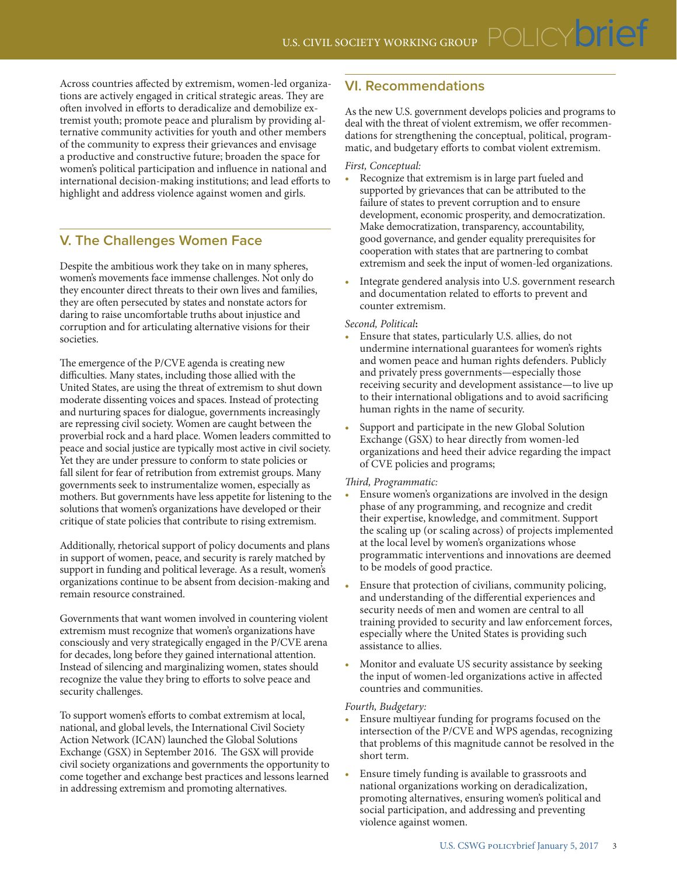Across countries affected by extremism, women-led organizations are actively engaged in critical strategic areas. They are often involved in efforts to deradicalize and demobilize extremist youth; promote peace and pluralism by providing alternative community activities for youth and other members of the community to express their grievances and envisage a productive and constructive future; broaden the space for women's political participation and influence in national and international decision-making institutions; and lead efforts to highlight and address violence against women and girls.

## **V. The Challenges Women Face**

Despite the ambitious work they take on in many spheres, women's movements face immense challenges. Not only do they encounter direct threats to their own lives and families, they are often persecuted by states and nonstate actors for daring to raise uncomfortable truths about injustice and corruption and for articulating alternative visions for their societies.

The emergence of the P/CVE agenda is creating new difficulties. Many states, including those allied with the United States, are using the threat of extremism to shut down moderate dissenting voices and spaces. Instead of protecting and nurturing spaces for dialogue, governments increasingly are repressing civil society. Women are caught between the proverbial rock and a hard place. Women leaders committed to peace and social justice are typically most active in civil society. Yet they are under pressure to conform to state policies or fall silent for fear of retribution from extremist groups. Many governments seek to instrumentalize women, especially as mothers. But governments have less appetite for listening to the solutions that women's organizations have developed or their critique of state policies that contribute to rising extremism.

Additionally, rhetorical support of policy documents and plans in support of women, peace, and security is rarely matched by support in funding and political leverage. As a result, women's organizations continue to be absent from decision-making and remain resource constrained.

Governments that want women involved in countering violent extremism must recognize that women's organizations have consciously and very strategically engaged in the P/CVE arena for decades, long before they gained international attention. Instead of silencing and marginalizing women, states should recognize the value they bring to efforts to solve peace and security challenges.

To support women's efforts to combat extremism at local, national, and global levels, the International Civil Society Action Network (ICAN) launched the Global Solutions Exchange (GSX) in September 2016. The GSX will provide civil society organizations and governments the opportunity to come together and exchange best practices and lessons learned in addressing extremism and promoting alternatives.

## **VI. Recommendations**

As the new U.S. government develops policies and programs to deal with the threat of violent extremism, we offer recommendations for strengthening the conceptual, political, programmatic, and budgetary efforts to combat violent extremism.

#### *First, Conceptual:*

- Recognize that extremism is in large part fueled and supported by grievances that can be attributed to the failure of states to prevent corruption and to ensure development, economic prosperity, and democratization. Make democratization, transparency, accountability, good governance, and gender equality prerequisites for cooperation with states that are partnering to combat extremism and seek the input of women-led organizations.
- Integrate gendered analysis into U.S. government research and documentation related to efforts to prevent and counter extremism.

#### *Second, Political***:**

- Ensure that states, particularly U.S. allies, do not undermine international guarantees for women's rights and women peace and human rights defenders. Publicly and privately press governments—especially those receiving security and development assistance—to live up to their international obligations and to avoid sacrificing human rights in the name of security.
- Support and participate in the new Global Solution Exchange (GSX) to hear directly from women-led organizations and heed their advice regarding the impact of CVE policies and programs;

#### *Third, Programmatic:*

- Ensure women's organizations are involved in the design phase of any programming, and recognize and credit their expertise, knowledge, and commitment. Support the scaling up (or scaling across) of projects implemented at the local level by women's organizations whose programmatic interventions and innovations are deemed to be models of good practice.
- Ensure that protection of civilians, community policing, and understanding of the differential experiences and security needs of men and women are central to all training provided to security and law enforcement forces, especially where the United States is providing such assistance to allies.
- Monitor and evaluate US security assistance by seeking the input of women-led organizations active in affected countries and communities.

#### *Fourth, Budgetary:*

- Ensure multiyear funding for programs focused on the intersection of the P/CVE and WPS agendas, recognizing that problems of this magnitude cannot be resolved in the short term.
- Ensure timely funding is available to grassroots and national organizations working on deradicalization, promoting alternatives, ensuring women's political and social participation, and addressing and preventing violence against women.